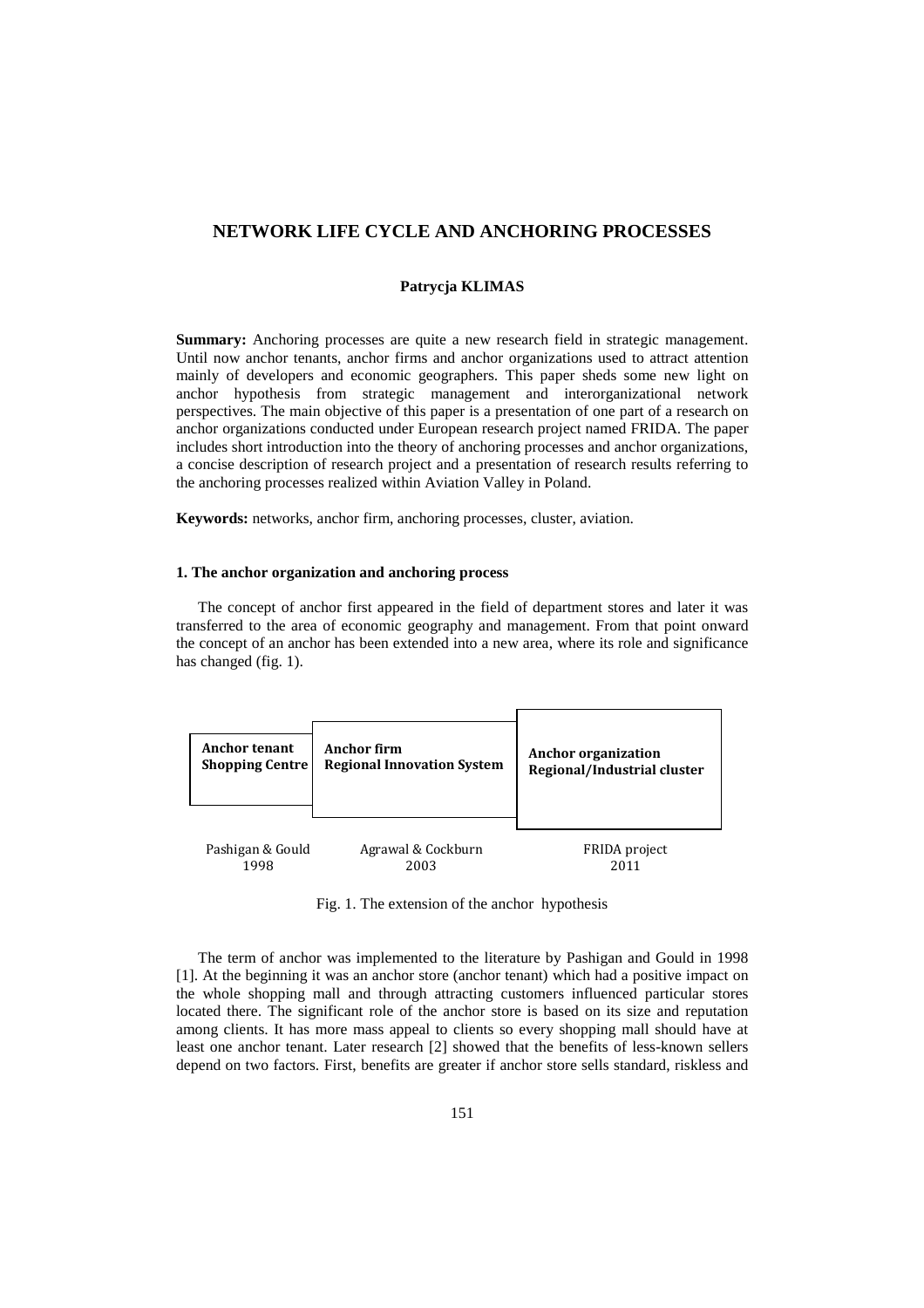# **NETWORK LIFE CYCLE AND ANCHORING PROCESSES**

# **Patrycja KLIMAS**

**Summary:** Anchoring processes are quite a new research field in strategic management. Until now anchor tenants, anchor firms and anchor organizations used to attract attention mainly of developers and economic geographers. This paper sheds some new light on anchor hypothesis from strategic management and interorganizational network perspectives. The main objective of this paper is a presentation of one part of a research on anchor organizations conducted under European research project named FRIDA. The paper includes short introduction into the theory of anchoring processes and anchor organizations, a concise description of research project and a presentation of research results referring to the anchoring processes realized within Aviation Valley in Poland.

**Keywords:** networks, anchor firm, anchoring processes, cluster, aviation.

#### **1. The anchor organization and anchoring process**

The concept of anchor first appeared in the field of department stores and later it was transferred to the area of economic geography and management. From that point onward the concept of an anchor has been extended into a new area, where its role and significance has changed (fig. 1).

| <b>Anchor tenant</b>   | Anchor firm                       | <b>Anchor organization</b>  |
|------------------------|-----------------------------------|-----------------------------|
| <b>Shopping Centre</b> | <b>Regional Innovation System</b> | Regional/Industrial cluster |
| Pashigan & Gould       | Agrawal & Cockburn<br>2003        | FRIDA project               |

Fig. 1. The extension of the anchor hypothesis

The term of anchor was implemented to the literature by Pashigan and Gould in 1998 [1]. At the beginning it was an anchor store (anchor tenant) which had a positive impact on the whole shopping mall and through attracting customers influenced particular stores located there. The significant role of the anchor store is based on its size and reputation among clients. It has more mass appeal to clients so every shopping mall should have at least one anchor tenant. Later research [2] showed that the benefits of less-known sellers depend on two factors. First, benefits are greater if anchor store sells standard, riskless and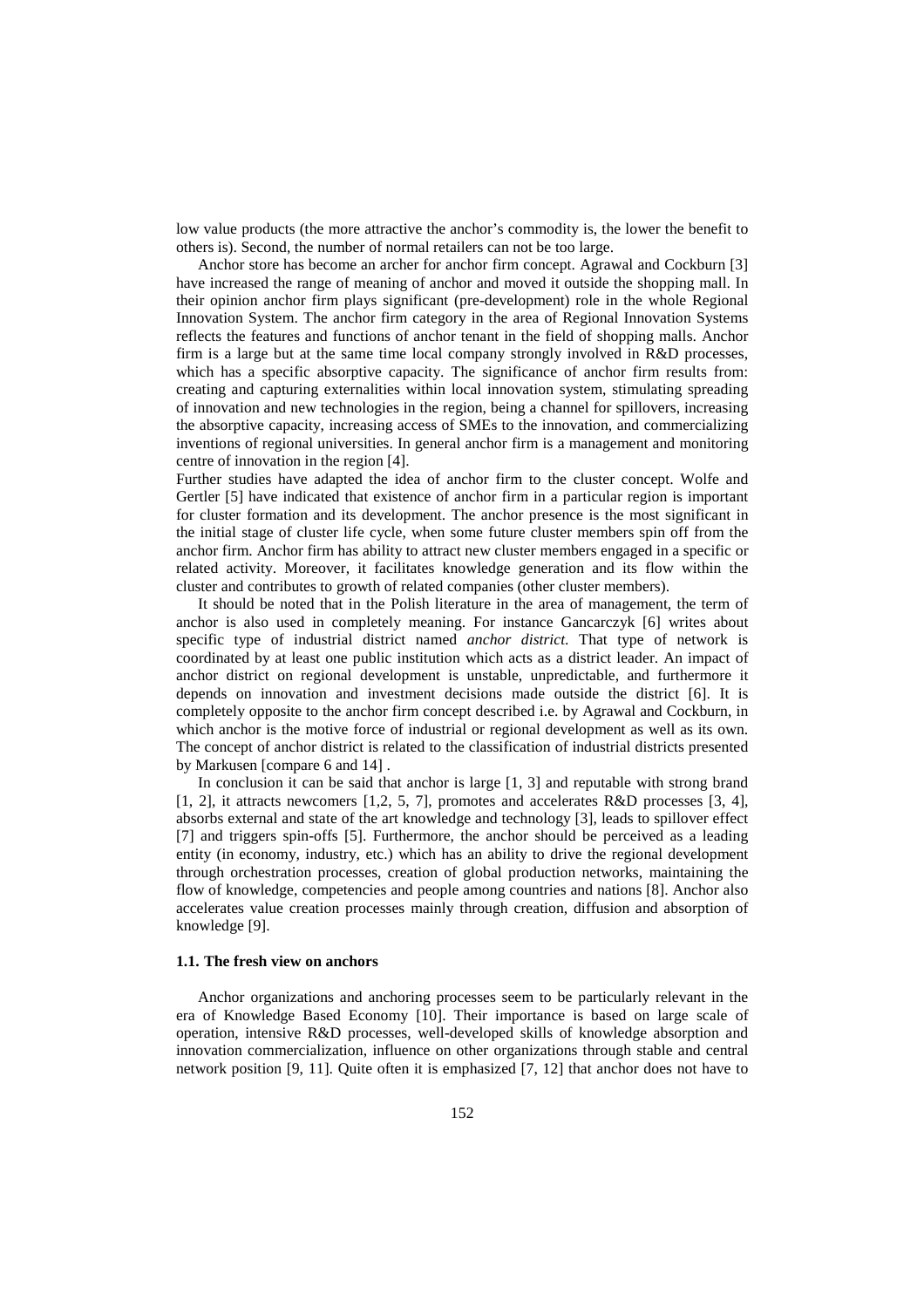low value products (the more attractive the anchor's commodity is, the lower the benefit to others is). Second, the number of normal retailers can not be too large.

Anchor store has become an archer for anchor firm concept. Agrawal and Cockburn [3] have increased the range of meaning of anchor and moved it outside the shopping mall. In their opinion anchor firm plays significant (pre-development) role in the whole Regional Innovation System. The anchor firm category in the area of Regional Innovation Systems reflects the features and functions of anchor tenant in the field of shopping malls. Anchor firm is a large but at the same time local company strongly involved in R&D processes, which has a specific absorptive capacity. The significance of anchor firm results from: creating and capturing externalities within local innovation system, stimulating spreading of innovation and new technologies in the region, being a channel for spillovers, increasing the absorptive capacity, increasing access of SMEs to the innovation, and commercializing inventions of regional universities. In general anchor firm is a management and monitoring centre of innovation in the region [4].

Further studies have adapted the idea of anchor firm to the cluster concept. Wolfe and Gertler [5] have indicated that existence of anchor firm in a particular region is important for cluster formation and its development. The anchor presence is the most significant in the initial stage of cluster life cycle, when some future cluster members spin off from the anchor firm. Anchor firm has ability to attract new cluster members engaged in a specific or related activity. Moreover, it facilitates knowledge generation and its flow within the cluster and contributes to growth of related companies (other cluster members).

It should be noted that in the Polish literature in the area of management, the term of anchor is also used in completely meaning. For instance Gancarczyk [6] writes about specific type of industrial district named *anchor district*. That type of network is coordinated by at least one public institution which acts as a district leader. An impact of anchor district on regional development is unstable, unpredictable, and furthermore it depends on innovation and investment decisions made outside the district [6]. It is completely opposite to the anchor firm concept described i.e. by Agrawal and Cockburn, in which anchor is the motive force of industrial or regional development as well as its own. The concept of anchor district is related to the classification of industrial districts presented by Markusen [compare 6 and 14] .

In conclusion it can be said that anchor is large [1, 3] and reputable with strong brand [1, 2], it attracts newcomers [1,2, 5, 7], promotes and accelerates R&D processes [3, 4], absorbs external and state of the art knowledge and technology [3], leads to spillover effect [7] and triggers spin-offs [5]. Furthermore, the anchor should be perceived as a leading entity (in economy, industry, etc.) which has an ability to drive the regional development through orchestration processes, creation of global production networks, maintaining the flow of knowledge, competencies and people among countries and nations [8]. Anchor also accelerates value creation processes mainly through creation, diffusion and absorption of knowledge [9].

#### **1.1. The fresh view on anchors**

Anchor organizations and anchoring processes seem to be particularly relevant in the era of Knowledge Based Economy [10]. Their importance is based on large scale of operation, intensive R&D processes, well-developed skills of knowledge absorption and innovation commercialization, influence on other organizations through stable and central network position [9, 11]. Quite often it is emphasized [7, 12] that anchor does not have to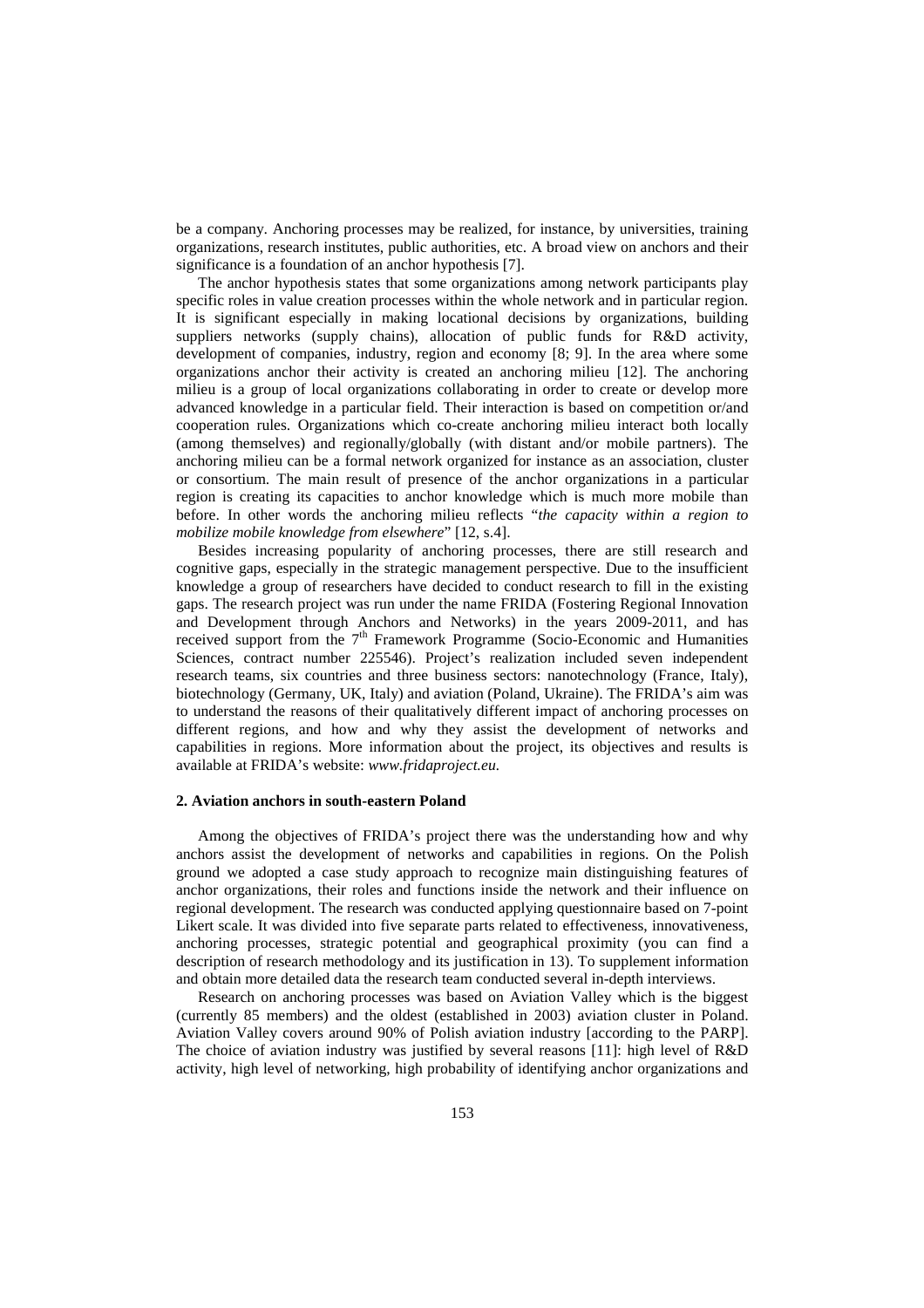be a company. Anchoring processes may be realized, for instance, by universities, training organizations, research institutes, public authorities, etc. A broad view on anchors and their significance is a foundation of an anchor hypothesis [7].

The anchor hypothesis states that some organizations among network participants play specific roles in value creation processes within the whole network and in particular region. It is significant especially in making locational decisions by organizations, building suppliers networks (supply chains), allocation of public funds for R&D activity, development of companies, industry, region and economy [8; 9]. In the area where some organizations anchor their activity is created an anchoring milieu [12]. The anchoring milieu is a group of local organizations collaborating in order to create or develop more advanced knowledge in a particular field. Their interaction is based on competition or/and cooperation rules. Organizations which co-create anchoring milieu interact both locally (among themselves) and regionally/globally (with distant and/or mobile partners). The anchoring milieu can be a formal network organized for instance as an association, cluster or consortium. The main result of presence of the anchor organizations in a particular region is creating its capacities to anchor knowledge which is much more mobile than before. In other words the anchoring milieu reflects "*the capacity within a region to mobilize mobile knowledge from elsewhere*" [12, s.4].

Besides increasing popularity of anchoring processes, there are still research and cognitive gaps, especially in the strategic management perspective. Due to the insufficient knowledge a group of researchers have decided to conduct research to fill in the existing gaps. The research project was run under the name FRIDA (Fostering Regional Innovation and Development through Anchors and Networks) in the years 2009-2011, and has received support from the  $7<sup>th</sup>$  Framework Programme (Socio-Economic and Humanities Sciences, contract number 225546). Project's realization included seven independent research teams, six countries and three business sectors: nanotechnology (France, Italy), biotechnology (Germany, UK, Italy) and aviation (Poland, Ukraine). The FRIDA's aim was to understand the reasons of their qualitatively different impact of anchoring processes on different regions, and how and why they assist the development of networks and capabilities in regions. More information about the project, its objectives and results is available at FRIDA's website: *www.fridaproject.eu.*

#### **2. Aviation anchors in south-eastern Poland**

Among the objectives of FRIDA's project there was the understanding how and why anchors assist the development of networks and capabilities in regions. On the Polish ground we adopted a case study approach to recognize main distinguishing features of anchor organizations, their roles and functions inside the network and their influence on regional development. The research was conducted applying questionnaire based on 7-point Likert scale. It was divided into five separate parts related to effectiveness, innovativeness, anchoring processes, strategic potential and geographical proximity (you can find a description of research methodology and its justification in 13). To supplement information and obtain more detailed data the research team conducted several in-depth interviews.

Research on anchoring processes was based on Aviation Valley which is the biggest (currently 85 members) and the oldest (established in 2003) aviation cluster in Poland. Aviation Valley covers around 90% of Polish aviation industry [according to the PARP]. The choice of aviation industry was justified by several reasons [11]: high level of R&D activity, high level of networking, high probability of identifying anchor organizations and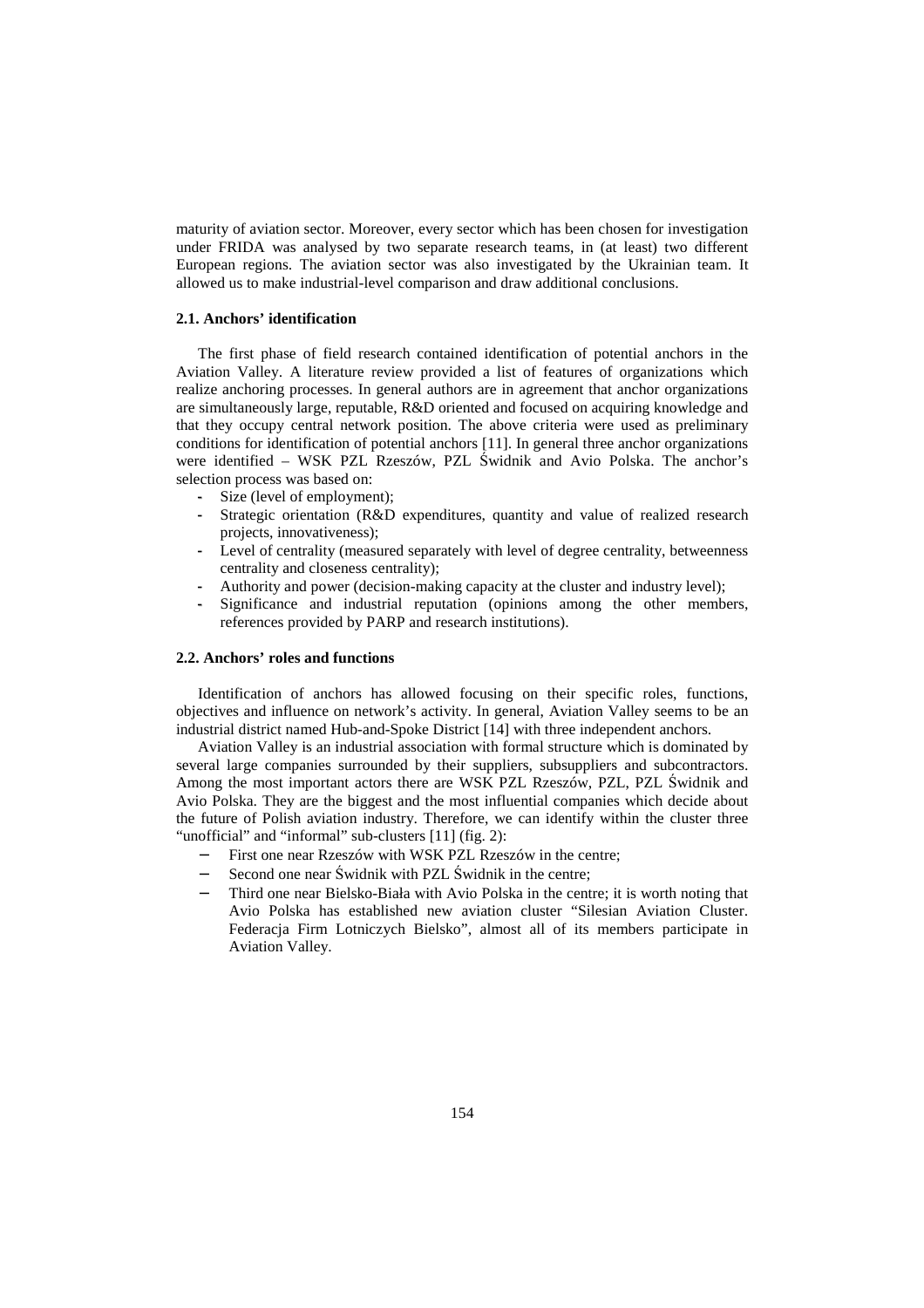maturity of aviation sector. Moreover, every sector which has been chosen for investigation under FRIDA was analysed by two separate research teams, in (at least) two different European regions. The aviation sector was also investigated by the Ukrainian team. It allowed us to make industrial-level comparison and draw additional conclusions.

## **2.1. Anchors' identification**

The first phase of field research contained identification of potential anchors in the Aviation Valley. A literature review provided a list of features of organizations which realize anchoring processes. In general authors are in agreement that anchor organizations are simultaneously large, reputable, R&D oriented and focused on acquiring knowledge and that they occupy central network position. The above criteria were used as preliminary conditions for identification of potential anchors [11]. In general three anchor organizations were identified – WSK PZL Rzeszów, PZL Świdnik and Avio Polska. The anchor's selection process was based on:

- Size (level of employment);
- Strategic orientation (R&D expenditures, quantity and value of realized research projects, innovativeness);
- Level of centrality (measured separately with level of degree centrality, betweenness centrality and closeness centrality);
- Authority and power (decision-making capacity at the cluster and industry level);
- Significance and industrial reputation (opinions among the other members, references provided by PARP and research institutions).

#### **2.2. Anchors' roles and functions**

Identification of anchors has allowed focusing on their specific roles, functions, objectives and influence on network's activity. In general, Aviation Valley seems to be an industrial district named Hub-and-Spoke District [14] with three independent anchors.

Aviation Valley is an industrial association with formal structure which is dominated by several large companies surrounded by their suppliers, subsuppliers and subcontractors. Among the most important actors there are WSK PZL Rzeszów, PZL, PZL Świdnik and Avio Polska. They are the biggest and the most influential companies which decide about the future of Polish aviation industry. Therefore, we can identify within the cluster three "unofficial" and "informal" sub-clusters [11] (fig. 2):

- First one near Rzeszów with WSK PZL Rzeszów in the centre;
- Second one near Świdnik with PZL Świdnik in the centre;
- Third one near Bielsko-Biała with Avio Polska in the centre; it is worth noting that Avio Polska has established new aviation cluster "Silesian Aviation Cluster. Federacja Firm Lotniczych Bielsko", almost all of its members participate in Aviation Valley.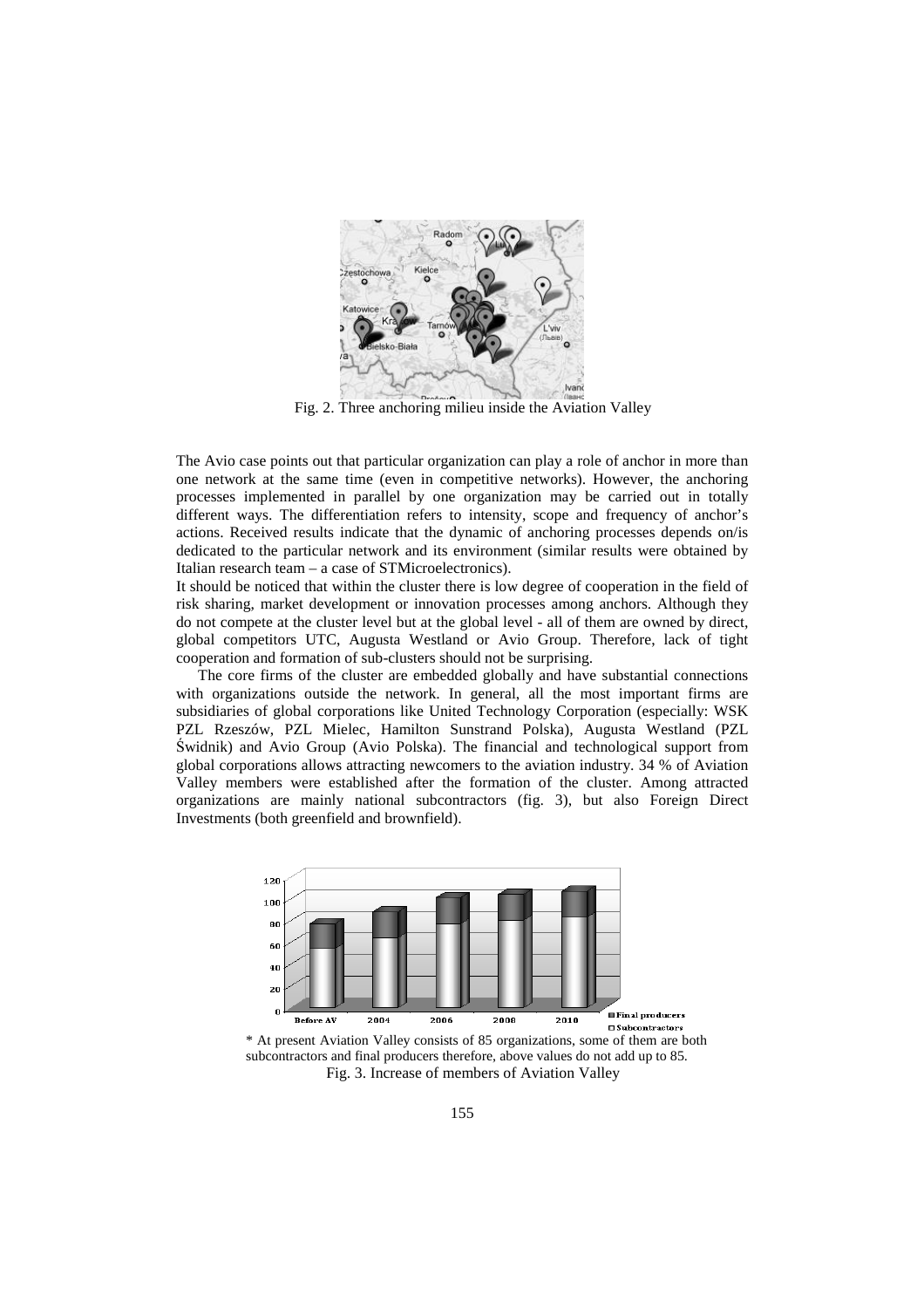

Fig. 2. Three anchoring milieu inside the Aviation Valley

The Avio case points out that particular organization can play a role of anchor in more than one network at the same time (even in competitive networks). However, the anchoring processes implemented in parallel by one organization may be carried out in totally different ways. The differentiation refers to intensity, scope and frequency of anchor's actions. Received results indicate that the dynamic of anchoring processes depends on/is dedicated to the particular network and its environment (similar results were obtained by Italian research team – a case of STMicroelectronics).

It should be noticed that within the cluster there is low degree of cooperation in the field of risk sharing, market development or innovation processes among anchors. Although they do not compete at the cluster level but at the global level - all of them are owned by direct, global competitors UTC, Augusta Westland or Avio Group. Therefore, lack of tight cooperation and formation of sub-clusters should not be surprising.

The core firms of the cluster are embedded globally and have substantial connections with organizations outside the network. In general, all the most important firms are subsidiaries of global corporations like United Technology Corporation (especially: WSK PZL Rzeszów, PZL Mielec, Hamilton Sunstrand Polska), Augusta Westland (PZL Świdnik) and Avio Group (Avio Polska). The financial and technological support from global corporations allows attracting newcomers to the aviation industry. 34 % of Aviation Valley members were established after the formation of the cluster. Among attracted organizations are mainly national subcontractors (fig. 3), but also Foreign Direct Investments (both greenfield and brownfield).



\* At present Aviation Valley consists of 85 organizations, some of them are both subcontractors and final producers therefore, above values do not add up to 85. Fig. 3. Increase of members of Aviation Valley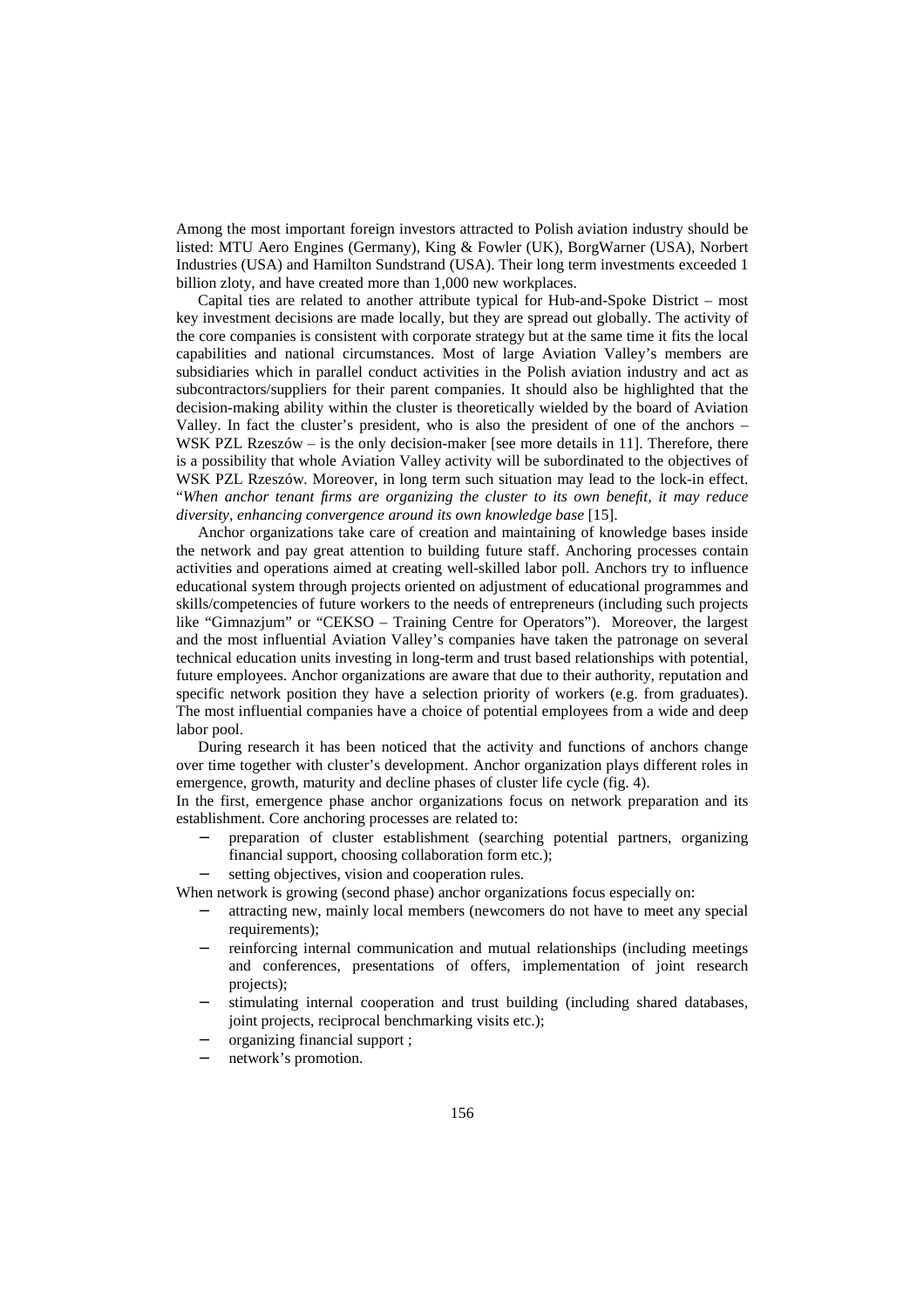Among the most important foreign investors attracted to Polish aviation industry should be listed: MTU Aero Engines (Germany), King & Fowler (UK), BorgWarner (USA), Norbert Industries (USA) and Hamilton Sundstrand (USA). Their long term investments exceeded 1 billion zloty, and have created more than 1,000 new workplaces.

Capital ties are related to another attribute typical for Hub-and-Spoke District – most key investment decisions are made locally, but they are spread out globally. The activity of the core companies is consistent with corporate strategy but at the same time it fits the local capabilities and national circumstances. Most of large Aviation Valley's members are subsidiaries which in parallel conduct activities in the Polish aviation industry and act as subcontractors/suppliers for their parent companies. It should also be highlighted that the decision-making ability within the cluster is theoretically wielded by the board of Aviation Valley. In fact the cluster's president, who is also the president of one of the anchors – WSK PZL Rzeszów – is the only decision-maker [see more details in 11]. Therefore, there is a possibility that whole Aviation Valley activity will be subordinated to the objectives of WSK PZL Rzeszów. Moreover, in long term such situation may lead to the lock-in effect. "*When anchor tenant firms are organizing the cluster to its own benefit, it may reduce diversity, enhancing convergence around its own knowledge base* [15].

Anchor organizations take care of creation and maintaining of knowledge bases inside the network and pay great attention to building future staff. Anchoring processes contain activities and operations aimed at creating well-skilled labor poll. Anchors try to influence educational system through projects oriented on adjustment of educational programmes and skills/competencies of future workers to the needs of entrepreneurs (including such projects like "Gimnazjum" or "CEKSO – Training Centre for Operators"). Moreover, the largest and the most influential Aviation Valley's companies have taken the patronage on several technical education units investing in long-term and trust based relationships with potential, future employees. Anchor organizations are aware that due to their authority, reputation and specific network position they have a selection priority of workers (e.g. from graduates). The most influential companies have a choice of potential employees from a wide and deep labor pool.

During research it has been noticed that the activity and functions of anchors change over time together with cluster's development. Anchor organization plays different roles in emergence, growth, maturity and decline phases of cluster life cycle (fig. 4).

In the first, emergence phase anchor organizations focus on network preparation and its establishment. Core anchoring processes are related to:

- − preparation of cluster establishment (searching potential partners, organizing financial support, choosing collaboration form etc.);
- setting objectives, vision and cooperation rules.

When network is growing (second phase) anchor organizations focus especially on:

- attracting new, mainly local members (newcomers do not have to meet any special requirements);
- reinforcing internal communication and mutual relationships (including meetings and conferences, presentations of offers, implementation of joint research projects);
- stimulating internal cooperation and trust building (including shared databases, joint projects, reciprocal benchmarking visits etc.);
- − organizing financial support ;
- network's promotion.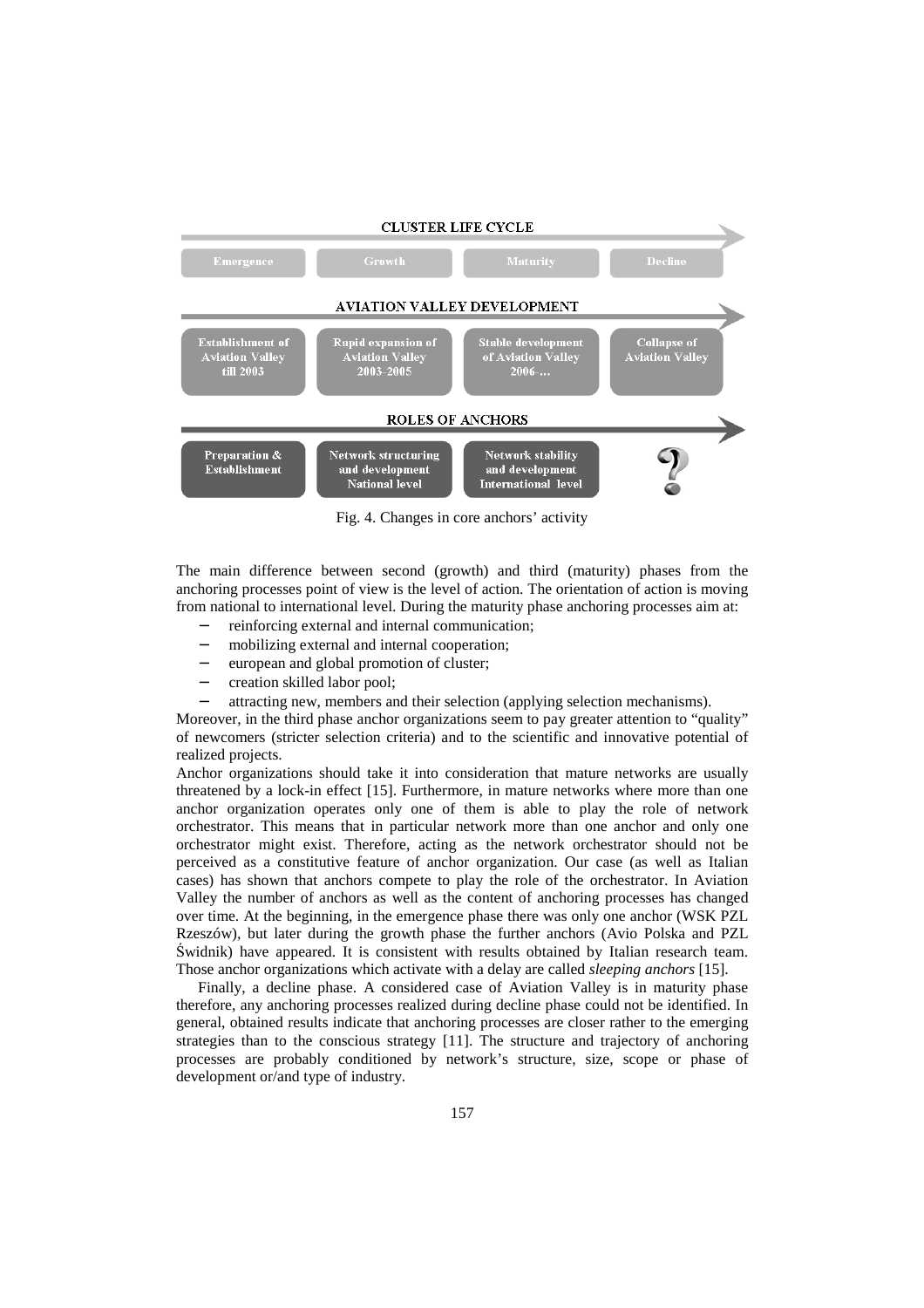

Fig. 4. Changes in core anchors' activity

The main difference between second (growth) and third (maturity) phases from the anchoring processes point of view is the level of action. The orientation of action is moving from national to international level. During the maturity phase anchoring processes aim at:

- reinforcing external and internal communication;
- mobilizing external and internal cooperation;
- european and global promotion of cluster;
- − creation skilled labor pool;
- attracting new, members and their selection (applying selection mechanisms).

Moreover, in the third phase anchor organizations seem to pay greater attention to "quality" of newcomers (stricter selection criteria) and to the scientific and innovative potential of realized projects.

Anchor organizations should take it into consideration that mature networks are usually threatened by a lock-in effect [15]. Furthermore, in mature networks where more than one anchor organization operates only one of them is able to play the role of network orchestrator. This means that in particular network more than one anchor and only one orchestrator might exist. Therefore, acting as the network orchestrator should not be perceived as a constitutive feature of anchor organization. Our case (as well as Italian cases) has shown that anchors compete to play the role of the orchestrator. In Aviation Valley the number of anchors as well as the content of anchoring processes has changed over time. At the beginning, in the emergence phase there was only one anchor (WSK PZL Rzeszów), but later during the growth phase the further anchors (Avio Polska and PZL Świdnik) have appeared. It is consistent with results obtained by Italian research team. Those anchor organizations which activate with a delay are called *sleeping anchors* [15].

Finally, a decline phase. A considered case of Aviation Valley is in maturity phase therefore, any anchoring processes realized during decline phase could not be identified. In general, obtained results indicate that anchoring processes are closer rather to the emerging strategies than to the conscious strategy [11]. The structure and trajectory of anchoring processes are probably conditioned by network's structure, size, scope or phase of development or/and type of industry.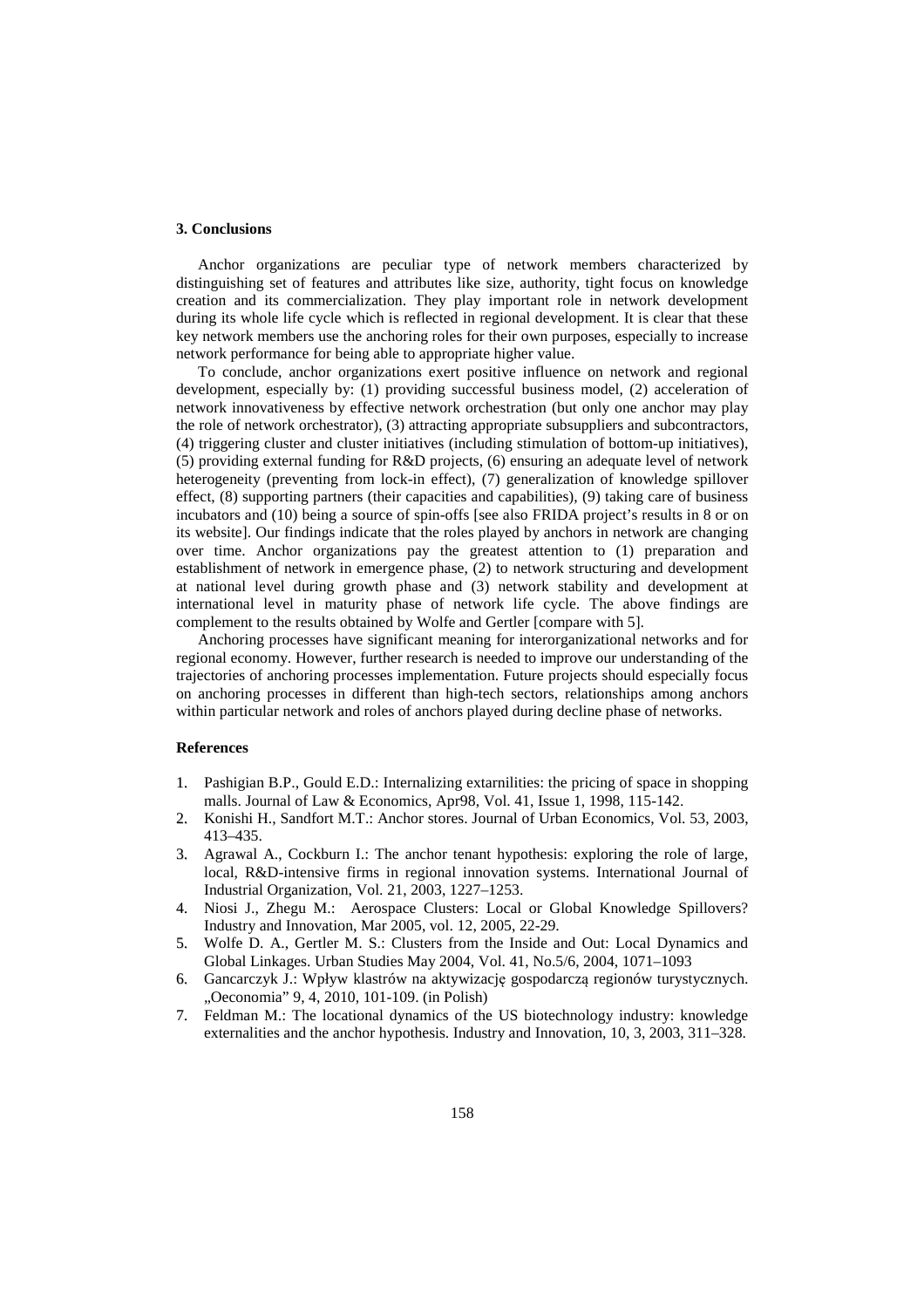# **3. Conclusions**

Anchor organizations are peculiar type of network members characterized by distinguishing set of features and attributes like size, authority, tight focus on knowledge creation and its commercialization. They play important role in network development during its whole life cycle which is reflected in regional development. It is clear that these key network members use the anchoring roles for their own purposes, especially to increase network performance for being able to appropriate higher value.

To conclude, anchor organizations exert positive influence on network and regional development, especially by: (1) providing successful business model, (2) acceleration of network innovativeness by effective network orchestration (but only one anchor may play the role of network orchestrator), (3) attracting appropriate subsuppliers and subcontractors, (4) triggering cluster and cluster initiatives (including stimulation of bottom-up initiatives), (5) providing external funding for R&D projects, (6) ensuring an adequate level of network heterogeneity (preventing from lock-in effect), (7) generalization of knowledge spillover effect, (8) supporting partners (their capacities and capabilities), (9) taking care of business incubators and (10) being a source of spin-offs [see also FRIDA project's results in 8 or on its website]. Our findings indicate that the roles played by anchors in network are changing over time. Anchor organizations pay the greatest attention to (1) preparation and establishment of network in emergence phase, (2) to network structuring and development at national level during growth phase and (3) network stability and development at international level in maturity phase of network life cycle. The above findings are complement to the results obtained by Wolfe and Gertler [compare with 5].

Anchoring processes have significant meaning for interorganizational networks and for regional economy. However, further research is needed to improve our understanding of the trajectories of anchoring processes implementation. Future projects should especially focus on anchoring processes in different than high-tech sectors, relationships among anchors within particular network and roles of anchors played during decline phase of networks.

## **References**

- 1. Pashigian B.P., Gould E.D.: Internalizing extarnilities: the pricing of space in shopping malls. Journal of Law & Economics, Apr98, Vol. 41, Issue 1, 1998, 115-142.
- 2. Konishi H., Sandfort M.T.: Anchor stores. Journal of Urban Economics, Vol. 53, 2003, 413–435.
- 3. Agrawal A., Cockburn I.: The anchor tenant hypothesis: exploring the role of large, local, R&D-intensive firms in regional innovation systems. International Journal of Industrial Organization, Vol. 21, 2003, 1227–1253.
- 4. Niosi J., Zhegu M.: Aerospace Clusters: Local or Global Knowledge Spillovers? Industry and Innovation, Mar 2005, vol. 12, 2005, 22-29.
- 5. Wolfe D. A., Gertler M. S.: Clusters from the Inside and Out: Local Dynamics and Global Linkages. Urban Studies May 2004, Vol. 41, No.5/6, 2004, 1071–1093
- 6. Gancarczyk J.: Wpływ klastrów na aktywizację gospodarczą regionów turystycznych. "Oeconomia" 9, 4, 2010, 101-109. (in Polish)
- 7. Feldman M.: The locational dynamics of the US biotechnology industry: knowledge externalities and the anchor hypothesis. Industry and Innovation, 10, 3, 2003, 311–328.